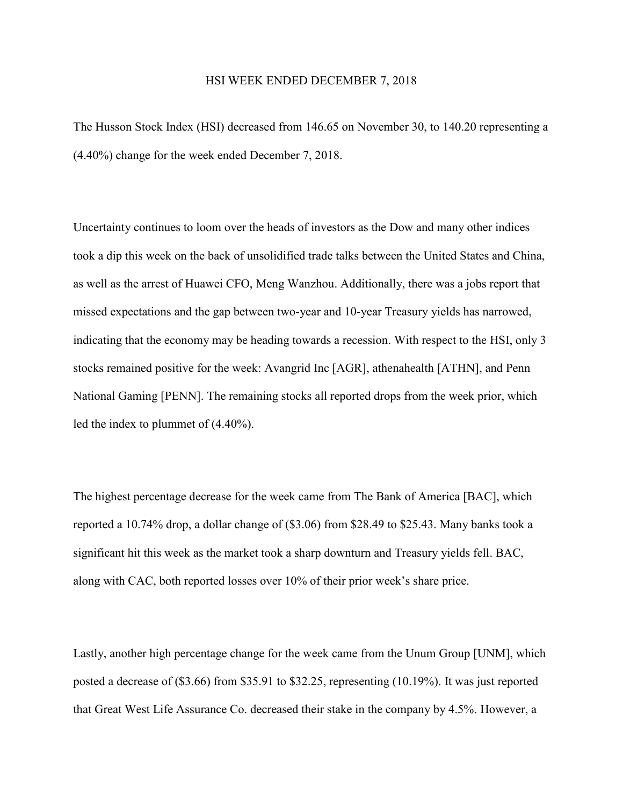## HSI WEEK ENDED DECEMBER 7, 2018

The Husson Stock Index (HSI) decreased from 146.65 on November 30, to 140.20 representing a (4.40%) change for the week ended December 7, 2018.

Uncertainty continues to loom over the heads of investors as the Dow and many other indices took a dip this week on the back of unsolidified trade talks between the United States and China, as well as the arrest of Huawei CFO, Meng Wanzhou. Additionally, there was a jobs report that missed expectations and the gap between two-year and 10-year Treasury yields has narrowed, indicating that the economy may be heading towards a recession. With respect to the HSI, only 3 stocks remained positive for the week: Avangrid Inc [AGR], athenahealth [ATHN], and Penn National Gaming [PENN]. The remaining stocks all reported drops from the week prior, which led the index to plummet of (4.40%).

The highest percentage decrease for the week came from The Bank of America [BAC], which reported a 10.74% drop, a dollar change of (\$3.06) from \$28.49 to \$25.43. Many banks took a significant hit this week as the market took a sharp downturn and Treasury yields fell. BAC, along with CAC, both reported losses over 10% of their prior week's share price.

Lastly, another high percentage change for the week came from the Unum Group [UNM], which posted a decrease of (\$3.66) from \$35.91 to \$32.25, representing (10.19%). It was just reported that Great West Life Assurance Co. decreased their stake in the company by 4.5%. However, a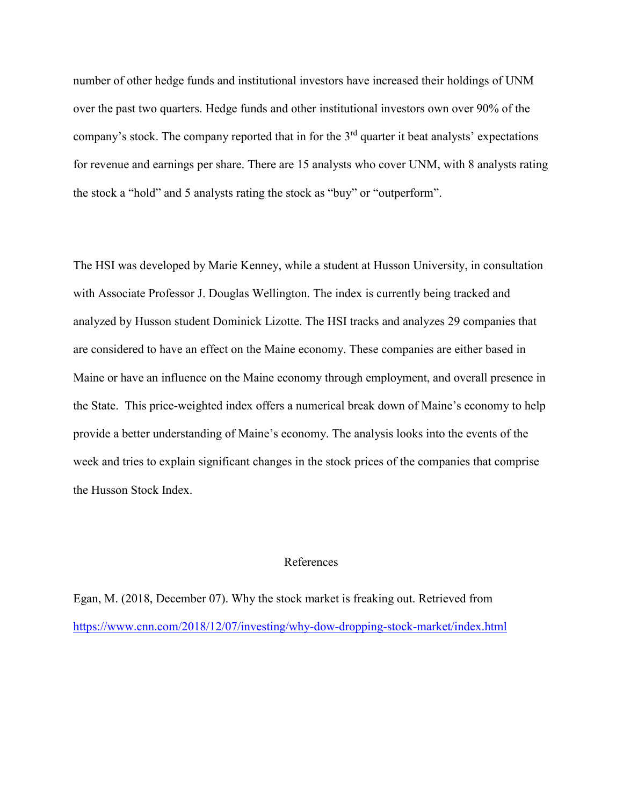number of other hedge funds and institutional investors have increased their holdings of UNM over the past two quarters. Hedge funds and other institutional investors own over 90% of the company's stock. The company reported that in for the 3<sup>rd</sup> quarter it beat analysts' expectations for revenue and earnings per share. There are 15 analysts who cover UNM, with 8 analysts rating the stock a "hold" and 5 analysts rating the stock as "buy" or "outperform".

The HSI was developed by Marie Kenney, while a student at Husson University, in consultation with Associate Professor J. Douglas Wellington. The index is currently being tracked and analyzed by Husson student Dominick Lizotte. The HSI tracks and analyzes 29 companies that are considered to have an effect on the Maine economy. These companies are either based in Maine or have an influence on the Maine economy through employment, and overall presence in the State. This price-weighted index offers a numerical break down of Maine's economy to help provide a better understanding of Maine's economy. The analysis looks into the events of the week and tries to explain significant changes in the stock prices of the companies that comprise the Husson Stock Index.

## References

Egan, M. (2018, December 07). Why the stock market is freaking out. Retrieved from <https://www.cnn.com/2018/12/07/investing/why-dow-dropping-stock-market/index.html>